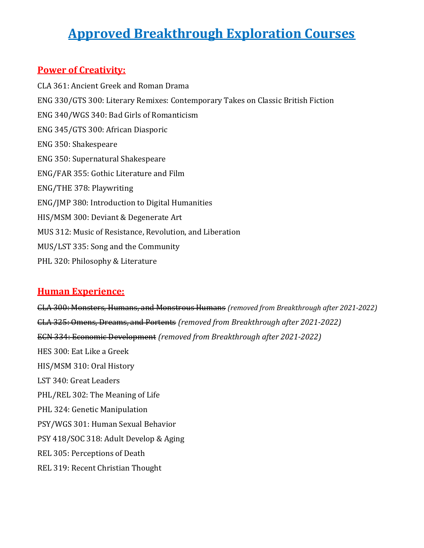# Approved Breakthrough Exploration Courses

#### Power of Creativity:

CLA 361: Ancient Greek and Roman Drama ENG 330/GTS 300: Literary Remixes: Contemporary Takes on Classic British Fiction ENG 340/WGS 340: Bad Girls of Romanticism ENG 345/GTS 300: African Diasporic ENG 350: Shakespeare ENG 350: Supernatural Shakespeare ENG/FAR 355: Gothic Literature and Film ENG/THE 378: Playwriting ENG/JMP 380: Introduction to Digital Humanities HIS/MSM 300: Deviant & Degenerate Art MUS 312: Music of Resistance, Revolution, and Liberation MUS/LST 335: Song and the Community PHL 320: Philosophy & Literature

## Human Experience:

CLA 300: Monsters, Humans, and Monstrous Humans (removed from Breakthrough after 2021-2022) CLA 325: Omens, Dreams, and Portents (removed from Breakthrough after 2021-2022) ECN 334: Economic Development (removed from Breakthrough after 2021-2022) HES 300: Eat Like a Greek HIS/MSM 310: Oral History LST 340: Great Leaders PHL/REL 302: The Meaning of Life PHL 324: Genetic Manipulation PSY/WGS 301: Human Sexual Behavior PSY 418/SOC 318: Adult Develop & Aging REL 305: Perceptions of Death REL 319: Recent Christian Thought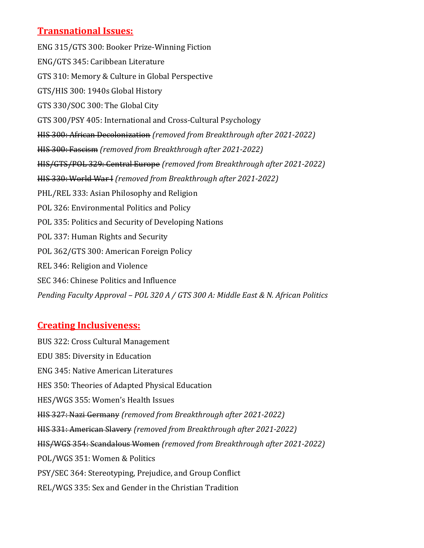## Transnational Issues:

ENG 315/GTS 300: Booker Prize-Winning Fiction ENG/GTS 345: Caribbean Literature GTS 310: Memory & Culture in Global Perspective GTS/HIS 300: 1940s Global History GTS 330/SOC 300: The Global City GTS 300/PSY 405: International and Cross-Cultural Psychology HIS 300: African Decolonization (removed from Breakthrough after 2021-2022) HIS 300: Fascism (removed from Breakthrough after 2021-2022) HIS/GTS/POL 329: Central Europe (removed from Breakthrough after 2021-2022) HIS 330: World War I (removed from Breakthrough after 2021-2022) PHL/REL 333: Asian Philosophy and Religion POL 326: Environmental Politics and Policy POL 335: Politics and Security of Developing Nations POL 337: Human Rights and Security POL 362/GTS 300: American Foreign Policy REL 346: Religion and Violence SEC 346: Chinese Politics and Influence Pending Faculty Approval – POL 320 A / GTS 300 A: Middle East & N. African Politics

#### Creating Inclusiveness:

BUS 322: Cross Cultural Management EDU 385: Diversity in Education ENG 345: Native American Literatures HES 350: Theories of Adapted Physical Education HES/WGS 355: Women's Health Issues HIS 327: Nazi Germany (removed from Breakthrough after 2021-2022) HIS 331: American Slavery (removed from Breakthrough after 2021-2022) HIS/WGS 354: Scandalous Women (removed from Breakthrough after 2021-2022) POL/WGS 351: Women & Politics PSY/SEC 364: Stereotyping, Prejudice, and Group Conflict REL/WGS 335: Sex and Gender in the Christian Tradition